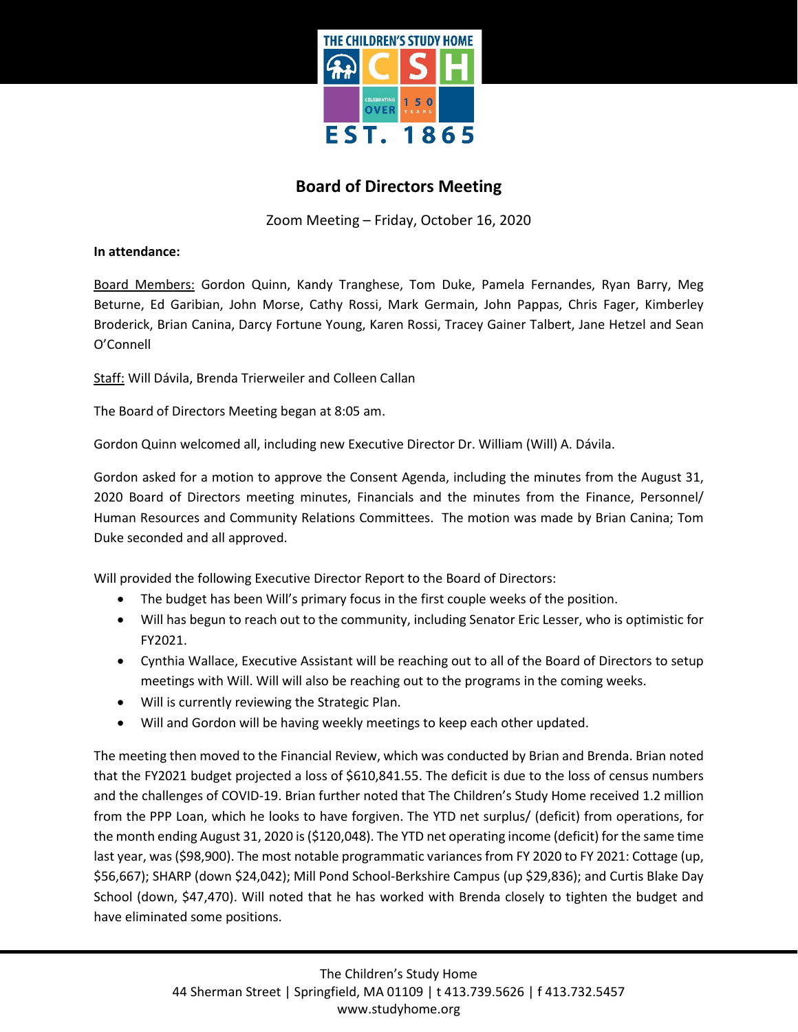

## **Board of Directors Meeting**

Zoom Meeting – Friday, October 16, 2020

**In attendance:**

Board Members: Gordon Quinn, Kandy Tranghese, Tom Duke, Pamela Fernandes, Ryan Barry, Meg Beturne, Ed Garibian, John Morse, Cathy Rossi, Mark Germain, John Pappas, Chris Fager, Kimberley Broderick, Brian Canina, Darcy Fortune Young, Karen Rossi, Tracey Gainer Talbert, Jane Hetzel and Sean O'Connell

Staff: Will Dávila, Brenda Trierweiler and Colleen Callan

The Board of Directors Meeting began at 8:05 am.

Gordon Quinn welcomed all, including new Executive Director Dr. William (Will) A. Dávila.

Gordon asked for a motion to approve the Consent Agenda, including the minutes from the August 31, 2020 Board of Directors meeting minutes, Financials and the minutes from the Finance, Personnel/ Human Resources and Community Relations Committees. The motion was made by Brian Canina; Tom Duke seconded and all approved.

Will provided the following Executive Director Report to the Board of Directors:

- The budget has been Will's primary focus in the first couple weeks of the position.
- Will has begun to reach out to the community, including Senator Eric Lesser, who is optimistic for FY2021.
- Cynthia Wallace, Executive Assistant will be reaching out to all of the Board of Directors to setup meetings with Will. Will will also be reaching out to the programs in the coming weeks.
- Will is currently reviewing the Strategic Plan.
- Will and Gordon will be having weekly meetings to keep each other updated.

The meeting then moved to the Financial Review, which was conducted by Brian and Brenda. Brian noted that the FY2021 budget projected a loss of \$610,841.55. The deficit is due to the loss of census numbers and the challenges of COVID-19. Brian further noted that The Children's Study Home received 1.2 million from the PPP Loan, which he looks to have forgiven. The YTD net surplus/ (deficit) from operations, for the month ending August 31, 2020 is (\$120,048). The YTD net operating income (deficit) for the same time last year, was (\$98,900). The most notable programmatic variances from FY 2020 to FY 2021: Cottage (up, \$56,667); SHARP (down \$24,042); Mill Pond School-Berkshire Campus (up \$29,836); and Curtis Blake Day School (down, \$47,470). Will noted that he has worked with Brenda closely to tighten the budget and have eliminated some positions.